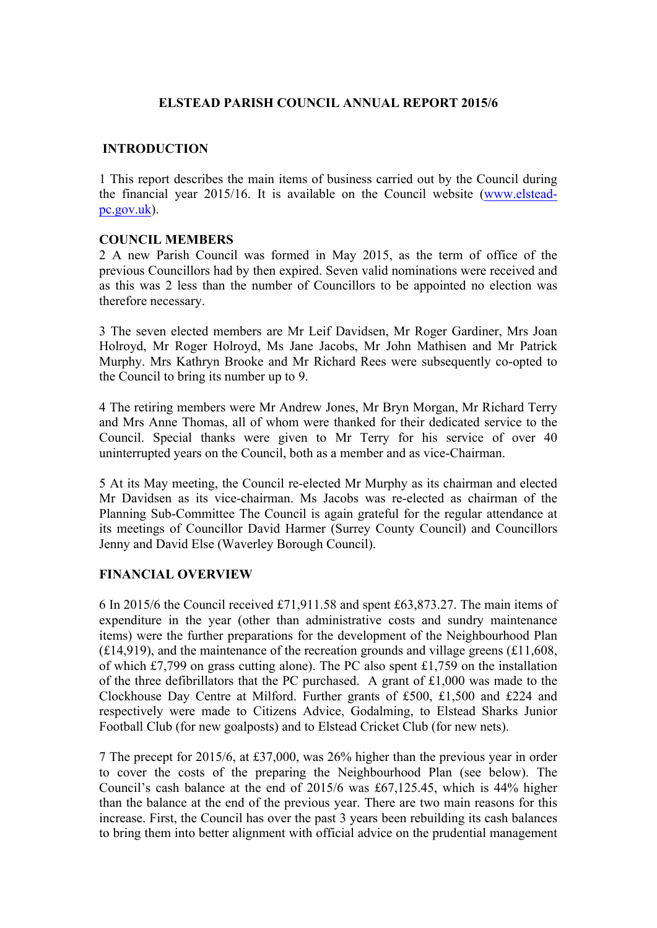# **ELSTEAD PARISH COUNCIL ANNUAL REPORT 2015/6**

# **INTRODUCTION**

1 This report describes the main items of business carried out by the Council during the financial year 2015/16. It is available on the Council website (www.elsteadpc.gov.uk).

#### **COUNCIL MEMBERS**

2 A new Parish Council was formed in May 2015, as the term of office of the previous Councillors had by then expired. Seven valid nominations were received and as this was 2 less than the number of Councillors to be appointed no election was therefore necessary.

3 The seven elected members are Mr Leif Davidsen, Mr Roger Gardiner, Mrs Joan Holroyd, Mr Roger Holroyd, Ms Jane Jacobs, Mr John Mathisen and Mr Patrick Murphy. Mrs Kathryn Brooke and Mr Richard Rees were subsequently co-opted to the Council to bring its number up to 9.

4 The retiring members were Mr Andrew Jones, Mr Bryn Morgan, Mr Richard Terry and Mrs Anne Thomas, all of whom were thanked for their dedicated service to the Council. Special thanks were given to Mr Terry for his service of over 40 uninterrupted years on the Council, both as a member and as vice-Chairman.

5 At its May meeting, the Council re-elected Mr Murphy as its chairman and elected Mr Davidsen as its vice-chairman. Ms Jacobs was re-elected as chairman of the Planning Sub-Committee The Council is again grateful for the regular attendance at its meetings of Councillor David Harmer (Surrey County Council) and Councillors Jenny and David Else (Waverley Borough Council).

# **FINANCIAL OVERVIEW**

6 In 2015/6 the Council received £71,911.58 and spent £63,873.27. The main items of expenditure in the year (other than administrative costs and sundry maintenance items) were the further preparations for the development of the Neighbourhood Plan  $(£14,919)$ , and the maintenance of the recreation grounds and village greens  $(£11,608,$ of which £7,799 on grass cutting alone). The PC also spent £1,759 on the installation of the three defibrillators that the PC purchased. A grant of £1,000 was made to the Clockhouse Day Centre at Milford. Further grants of £500, £1,500 and £224 and respectively were made to Citizens Advice, Godalming, to Elstead Sharks Junior Football Club (for new goalposts) and to Elstead Cricket Club (for new nets).

7 The precept for 2015/6, at £37,000, was 26% higher than the previous year in order to cover the costs of the preparing the Neighbourhood Plan (see below). The Council's cash balance at the end of 2015/6 was £67,125.45, which is 44% higher than the balance at the end of the previous year. There are two main reasons for this increase. First, the Council has over the past 3 years been rebuilding its cash balances to bring them into better alignment with official advice on the prudential management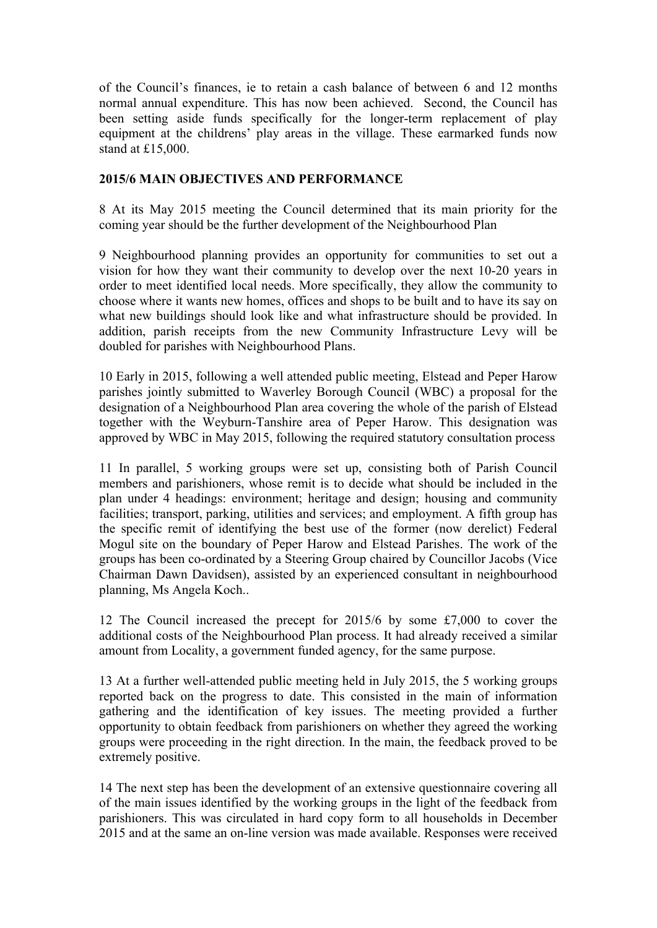of the Council's finances, ie to retain a cash balance of between 6 and 12 months normal annual expenditure. This has now been achieved. Second, the Council has been setting aside funds specifically for the longer-term replacement of play equipment at the childrens' play areas in the village. These earmarked funds now stand at £15,000.

#### **2015/6 MAIN OBJECTIVES AND PERFORMANCE**

8 At its May 2015 meeting the Council determined that its main priority for the coming year should be the further development of the Neighbourhood Plan

9 Neighbourhood planning provides an opportunity for communities to set out a vision for how they want their community to develop over the next 10-20 years in order to meet identified local needs. More specifically, they allow the community to choose where it wants new homes, offices and shops to be built and to have its say on what new buildings should look like and what infrastructure should be provided. In addition, parish receipts from the new Community Infrastructure Levy will be doubled for parishes with Neighbourhood Plans.

10 Early in 2015, following a well attended public meeting, Elstead and Peper Harow parishes jointly submitted to Waverley Borough Council (WBC) a proposal for the designation of a Neighbourhood Plan area covering the whole of the parish of Elstead together with the Weyburn-Tanshire area of Peper Harow. This designation was approved by WBC in May 2015, following the required statutory consultation process

11 In parallel, 5 working groups were set up, consisting both of Parish Council members and parishioners, whose remit is to decide what should be included in the plan under 4 headings: environment; heritage and design; housing and community facilities; transport, parking, utilities and services; and employment. A fifth group has the specific remit of identifying the best use of the former (now derelict) Federal Mogul site on the boundary of Peper Harow and Elstead Parishes. The work of the groups has been co-ordinated by a Steering Group chaired by Councillor Jacobs (Vice Chairman Dawn Davidsen), assisted by an experienced consultant in neighbourhood planning, Ms Angela Koch..

12 The Council increased the precept for 2015/6 by some £7,000 to cover the additional costs of the Neighbourhood Plan process. It had already received a similar amount from Locality, a government funded agency, for the same purpose.

13 At a further well-attended public meeting held in July 2015, the 5 working groups reported back on the progress to date. This consisted in the main of information gathering and the identification of key issues. The meeting provided a further opportunity to obtain feedback from parishioners on whether they agreed the working groups were proceeding in the right direction. In the main, the feedback proved to be extremely positive.

14 The next step has been the development of an extensive questionnaire covering all of the main issues identified by the working groups in the light of the feedback from parishioners. This was circulated in hard copy form to all households in December 2015 and at the same an on-line version was made available. Responses were received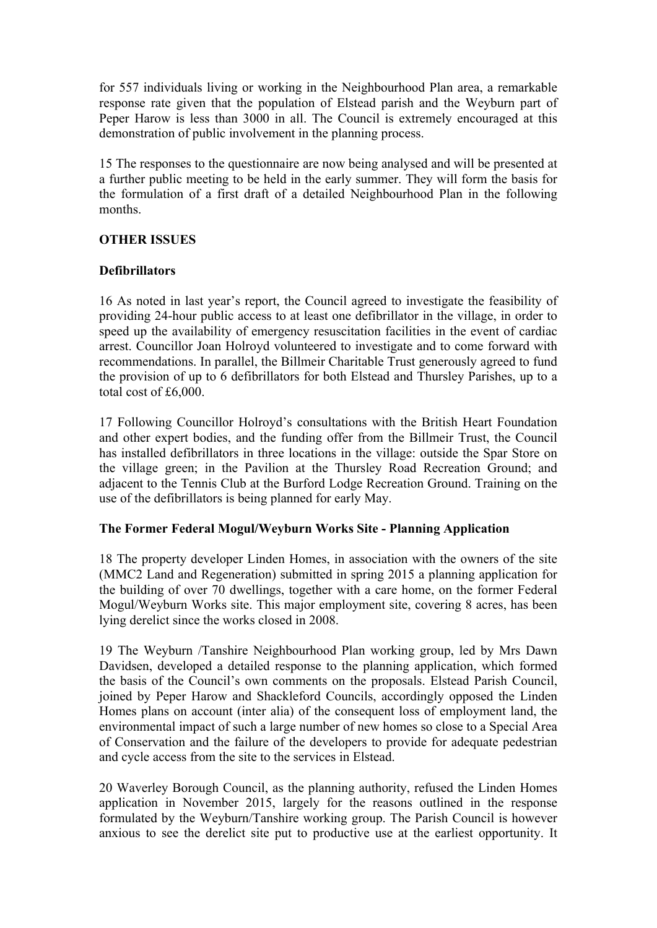for 557 individuals living or working in the Neighbourhood Plan area, a remarkable response rate given that the population of Elstead parish and the Weyburn part of Peper Harow is less than 3000 in all. The Council is extremely encouraged at this demonstration of public involvement in the planning process.

15 The responses to the questionnaire are now being analysed and will be presented at a further public meeting to be held in the early summer. They will form the basis for the formulation of a first draft of a detailed Neighbourhood Plan in the following months.

#### **OTHER ISSUES**

# **Defibrillators**

16 As noted in last year's report, the Council agreed to investigate the feasibility of providing 24-hour public access to at least one defibrillator in the village, in order to speed up the availability of emergency resuscitation facilities in the event of cardiac arrest. Councillor Joan Holroyd volunteered to investigate and to come forward with recommendations. In parallel, the Billmeir Charitable Trust generously agreed to fund the provision of up to 6 defibrillators for both Elstead and Thursley Parishes, up to a total cost of £6,000.

17 Following Councillor Holroyd's consultations with the British Heart Foundation and other expert bodies, and the funding offer from the Billmeir Trust, the Council has installed defibrillators in three locations in the village: outside the Spar Store on the village green; in the Pavilion at the Thursley Road Recreation Ground; and adjacent to the Tennis Club at the Burford Lodge Recreation Ground. Training on the use of the defibrillators is being planned for early May.

# **The Former Federal Mogul/Weyburn Works Site - Planning Application**

18 The property developer Linden Homes, in association with the owners of the site (MMC2 Land and Regeneration) submitted in spring 2015 a planning application for the building of over 70 dwellings, together with a care home, on the former Federal Mogul/Weyburn Works site. This major employment site, covering 8 acres, has been lying derelict since the works closed in 2008.

19 The Weyburn /Tanshire Neighbourhood Plan working group, led by Mrs Dawn Davidsen, developed a detailed response to the planning application, which formed the basis of the Council's own comments on the proposals. Elstead Parish Council, joined by Peper Harow and Shackleford Councils, accordingly opposed the Linden Homes plans on account (inter alia) of the consequent loss of employment land, the environmental impact of such a large number of new homes so close to a Special Area of Conservation and the failure of the developers to provide for adequate pedestrian and cycle access from the site to the services in Elstead.

20 Waverley Borough Council, as the planning authority, refused the Linden Homes application in November 2015, largely for the reasons outlined in the response formulated by the Weyburn/Tanshire working group. The Parish Council is however anxious to see the derelict site put to productive use at the earliest opportunity. It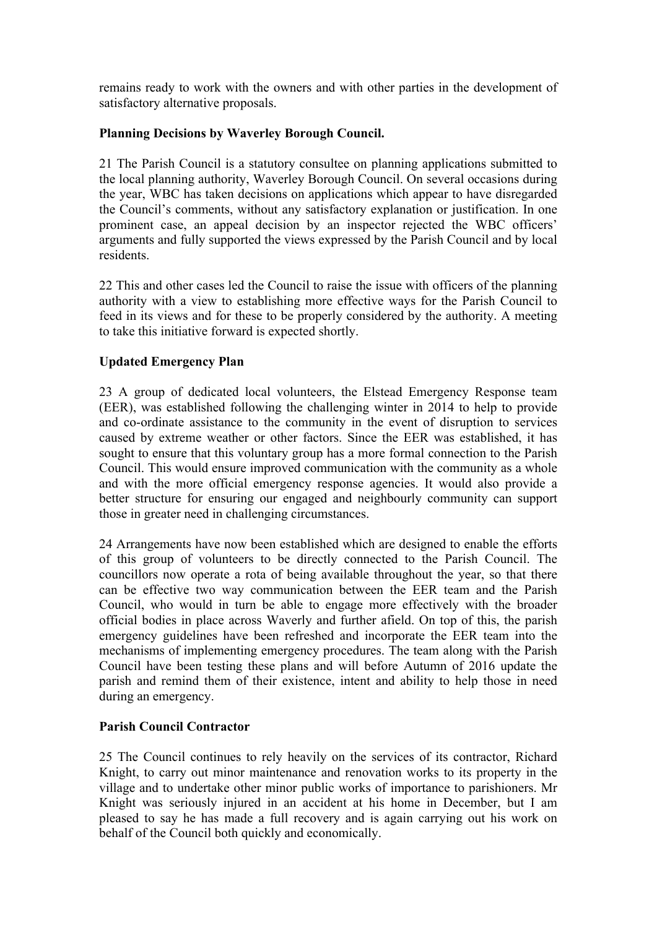remains ready to work with the owners and with other parties in the development of satisfactory alternative proposals.

#### **Planning Decisions by Waverley Borough Council.**

21 The Parish Council is a statutory consultee on planning applications submitted to the local planning authority, Waverley Borough Council. On several occasions during the year, WBC has taken decisions on applications which appear to have disregarded the Council's comments, without any satisfactory explanation or justification. In one prominent case, an appeal decision by an inspector rejected the WBC officers' arguments and fully supported the views expressed by the Parish Council and by local residents.

22 This and other cases led the Council to raise the issue with officers of the planning authority with a view to establishing more effective ways for the Parish Council to feed in its views and for these to be properly considered by the authority. A meeting to take this initiative forward is expected shortly.

# **Updated Emergency Plan**

23 A group of dedicated local volunteers, the Elstead Emergency Response team (EER), was established following the challenging winter in 2014 to help to provide and co-ordinate assistance to the community in the event of disruption to services caused by extreme weather or other factors. Since the EER was established, it has sought to ensure that this voluntary group has a more formal connection to the Parish Council. This would ensure improved communication with the community as a whole and with the more official emergency response agencies. It would also provide a better structure for ensuring our engaged and neighbourly community can support those in greater need in challenging circumstances.

24 Arrangements have now been established which are designed to enable the efforts of this group of volunteers to be directly connected to the Parish Council. The councillors now operate a rota of being available throughout the year, so that there can be effective two way communication between the EER team and the Parish Council, who would in turn be able to engage more effectively with the broader official bodies in place across Waverly and further afield. On top of this, the parish emergency guidelines have been refreshed and incorporate the EER team into the mechanisms of implementing emergency procedures. The team along with the Parish Council have been testing these plans and will before Autumn of 2016 update the parish and remind them of their existence, intent and ability to help those in need during an emergency.

# **Parish Council Contractor**

25 The Council continues to rely heavily on the services of its contractor, Richard Knight, to carry out minor maintenance and renovation works to its property in the village and to undertake other minor public works of importance to parishioners. Mr Knight was seriously injured in an accident at his home in December, but I am pleased to say he has made a full recovery and is again carrying out his work on behalf of the Council both quickly and economically.